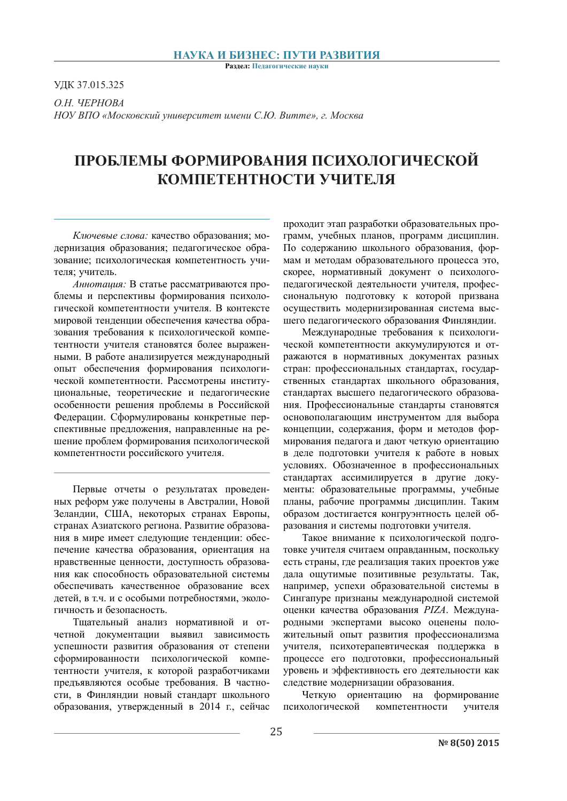#### НАУКА И БИЗНЕС: ПУТИ РАЗВИТИЯ

Раздел: Педагогические науки

УДК 37.015.325

 $OH$ <sup>W</sup>EPHOBA  $HO$ У ВПО «Московский университет имени С.Ю. Витте», г. Москва

# ПРОБЛЕМЫ ФОРМИРОВАНИЯ ПСИХОЛОГИЧЕСКОЙ КОМПЕТЕНТНОСТИ УЧИТЕЛЯ

*Ключевые слова: качество образования; мо*дернизация образования; педагогическое образование; психологическая компетентность учителя; учитель.

*Аннотация:* В статье рассматриваются проблемы и перспективы формирования психологической компетентности учителя. В контексте мировой тенденции обеспечения качества образования требования к психологической компетентности учителя становятся более выраженными. В работе анализируется международный опыт обеспечения формирования психологической компетентности. Рассмотрены институиюнальные теоретические и пелагогические особенности решения проблемы в Российской Федерации. Сформулированы конкретные перспективные предложения, направленные на решение проблем формирования психологической компетентности российского учителя.

Первые отчеты о результатах проведенных реформ уже получены в Австралии, Новой Зеландии, США, некоторых странах Европы, странах Азиатского региона. Развитие образования в мире имеет следующие тенденции: обеспечение качества образования, ориентация на нравственные ценности, доступность образования как способность образовательной системы обеспечивать качественное образование всех детей, в т.ч. и с особыми потребностями, экологичность и безопасность.

Тщательный анализ нормативной и отчетной документации выявил зависимость успешности развития образования от степени сформированности психологической компетентности учителя, к которой разработчиками предъявляются особые требования. В частности, в Финляндии новый стандарт школьного образования, утвержденный в 2014 г., сейчас проходит этап разработки образовательных программ, учебных планов, программ дисциплин. По содержанию школьного образования, формам и методам образовательного процесса это, скорее, нормативный документ о психологопедагогической деятельности учителя, профессиональную подготовку к которой призвана осуществить модернизированная система высшего педагогического образования Финляндии.

Международные требования к психологической компетентности аккумулируются и отражаются в нормативных документах разных стран: профессиональных стандартах, государственных стандартах школьного образования. стандартах высшего педагогического образования. Профессиональные стандарты становятся основополагающим инструментом для выбора концепции, содержания, форм и методов формирования педагога и дают четкую ориентацию в деле подготовки учителя к работе в новых үсловиях. Обозначенное в профессиональных стандартах ассимилируется в другие документы: образовательные программы, учебные планы, рабочие программы дисциплин. Таким образом достигается конгруэнтность целей образования и системы подготовки учителя.

Такое внимание к психологической подготовке учителя считаем оправданным, поскольку есть страны, где реализация таких проектов уже дала ощутимые позитивные результаты. Так, например, успехи образовательной системы в Сингапуре признаны международной системой оценки качества образования PIZA. Международными экспертами высоко оценены положительный опыт развития профессионализма учителя, психотерапевтическая поддержка в процессе его подготовки, профессиональный уровень и эффективность его деятельности как следствие модернизации образования.

Четкую ориентацию на формирование психологической компетентности учителя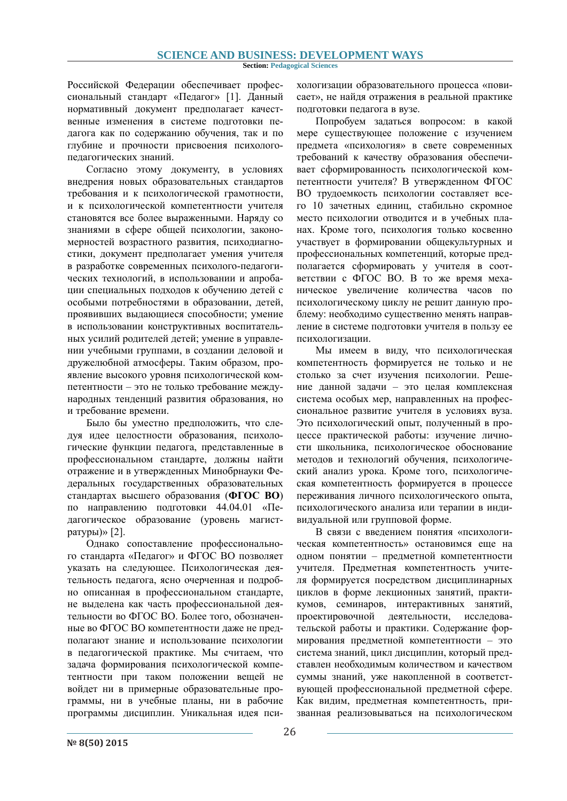**Section: Pedagogical Sciences**

Российской Федерации обеспечивает профессиональный стандарт «Педагог» [1]. Данный нормативный документ предполагает качественные изменения в системе подготовки педагога как по содержанию обучения, так и по глубине и прочности присвоения психологопелагогических знаний.

Согласно этому документу, в условиях внедрения новых образовательных стандартов требования и к психологической грамотности, и к психологической компетентности учителя становятся все более выраженными. Наряду со знаниями в сфере общей психологии, закономерностей возрастного развития, психодиагностики, документ предполагает умения учителя в разработке современных психолого-педагогических технологий, в использовании и апробации специальных подходов к обучению детей с особыми потребностями в образовании, детей, проявивших выдающиеся способности; умение в использовании конструктивных воспитательных усилий родителей детей; умение в управлении учебными группами, в создании деловой и дружелюбной атмосферы. Таким образом, проявление высокого уровня психологической компетентности - это не только требование международных тенденций развития образования, но и требование времени.

Было бы уместно предположить, что следуя идее целостности образования, психологические функции педагога, представленные в профессиональном стандарте, должны найти отражение и в утвержденных Минобрнауки Федеральных государственных образовательных стандартах высшего образования (ФГОС ВО) по направлению подготовки 44.04.01 «Педагогическое образование (уровень магистратуры)» [2].

Однако сопоставление профессионального стандарта «Педагог» и ФГОС ВО позволяет указать на следующее. Психологическая деятельность педагога, ясно очерченная и подробно описанная в профессиональном стандарте. не выделена как часть профессиональной деятельности во ФГОС ВО. Более того, обозначенные во ФГОС ВО компетентности даже не предполагают знание и использование психологии в педагогической практике. Мы считаем, что залача формирования психологической компетентности при таком положении вещей не войлет ни в примерные образовательные программы, ни в учебные планы, ни в рабочие программы дисциплин. Уникальная идея психологизации образовательного процесса «повисает», не найдя отражения в реальной практике подготовки педагога в вузе.

Попробуем задаться вопросом: в какой мере существующее положение с изучением предмета «психология» в свете современных требований к качеству образования обеспечивает сформированность психологической компетентности учителя? В утвержденном ФГОС ВО трудоемкость психологии составляет всего 10 зачетных единиц, стабильно скромное место психологии отводится и в учебных планах. Кроме того, психология только косвенно участвует в формировании общекультурных и профессиональных компетенций, которые предполагается сформировать у учителя в соответствии с ФГОС ВО. В то же время механическое увеличение количества часов по психологическому циклу не решит данную проблему: необходимо существенно менять направление в системе подготовки учителя в пользу ее психологизации.

Мы имеем в виду, что психологическая компетентность формируется не только и не столько за счет изучения психологии. Решение данной задачи - это целая комплексная система особых мер, направленных на профессиональное развитие учителя в условиях вуза. Это психологический опыт, полученный в процессе практической работы: изучение личности школьника, психологическое обоснование методов и технологий обучения, психологический анализ урока. Кроме того, психологическая компетентность формируется в процессе переживания личного психологического опыта. психологического анализа или терапии в индивидуальной или групповой форме.

В связи с ввелением понятия «психологическая компетентность» остановимся еще на одном понятии - предметной компетентности үчителя. Предметная компетентность учителя формируется посредством дисциплинарных циклов в форме лекционных занятий, практикумов, семинаров, интерактивных занятий, проектировочной деятельности, исследовательской работы и практики. Содержание формирования предметной компетентности - это система знаний, цикл дисциплин, который представлен необходимым количеством и качеством суммы знаний, уже накопленной в соответствующей профессиональной предметной сфере. Как видим, предметная компетентность, призванная реализовываться на психологическом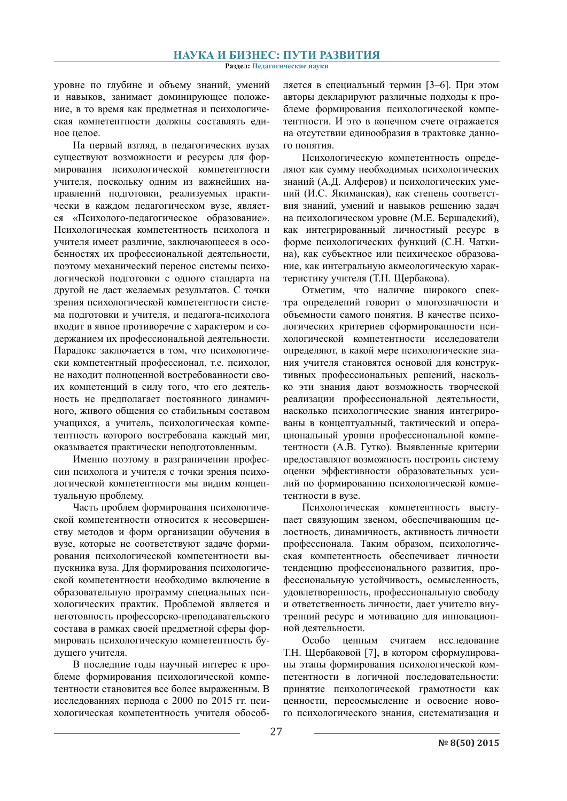Раздел: Педагогические науки

уровне по глубине и объему знаний, умений и навыков, занимает доминирующее положение, в то время как предметная и психологическая компетентности должны составлять единое непое

На первый взглял, в пелагогических вузах существуют возможности и ресурсы для формирования психологической компетентности учителя, поскольку одним из важнейших направлений подготовки, реализуемых практически в кажлом пелагогическом вузе, является «Психолого-педагогическое образование». Психологическая компетентность психолога и учителя имеет различие, заключающееся в особенностях их профессиональной деятельности, поэтому механический перенос системы психологической подготовки с одного стандарта на другой не даст желаемых результатов. С точки зрения психологической компетентности система подготовки и учителя, и педагога-психолога входит в явное противоречие с характером и содержанием их профессиональной деятельности. Парадокс заключается в том, что психологически компетентный профессионал, т.е. психолог, не находит полноценной востребованности своих компетенций в силу того, что его деятельность не предполагает постоянного динамичного, живого общения со стабильным составом учащихся, а учитель, психологическая компетентность которого востребована каждый миг. оказывается практически неподготовленным.

Именно поэтому в разграничении профессии психолога и учителя с точки зрения психологической компетентности мы видим концептуальную проблему.

Часть проблем формирования психологической компетентности относится к несовершенству методов и форм организации обучения в вузе, которые не соответствуют задаче формирования психологической компетентности выпускника вуза. Для формирования психологической компетентности необходимо включение в образовательную программу специальных психологических практик. Проблемой является и неготовность профессорско-преподавательского состава в рамках своей предметной сферы формировать психологическую компетентность будущего учителя.

В последние годы научный интерес к проблеме формирования психологической компетентности становится все более выраженным. В исследованиях периода с 2000 по 2015 гг. психологическая компетентность учителя обособ-

ляется в специальный термин [3-6]. При этом авторы декларируют различные подходы к проблеме формирования психологической компетентности. И это в конечном счете отражается на отсутствии единообразия в трактовке данного понятия.

Психологическую компетентность определяют как сумму необходимых психологических знаний (А.Д. Алферов) и психологических умений (И.С. Якиманская), как степень соответствия знаний, умений и навыков решению задач на психологическом уровне (М.Е. Бершадский), как интегрированный личностный ресурс в форме психологических функций (С.Н. Чаткина), как субъектное или психическое образование, как интегральную акмеологическую характеристику учителя (Т.Н. Щербакова).

Отметим, что наличие широкого спектра определений говорит о многозначности и объемности самого понятия. В качестве психологических критериев сформированности психологической компетентности исследователи определяют, в какой мере психологические знания учителя становятся основой для конструктивных профессиональных решений, насколько эти знания дают возможность творческой реализации профессиональной деятельности, насколько психологические знания интегрированы в концептуальный, тактический и операциональный уровни профессиональной компетентности (А.В. Гутко). Выявленные критерии предоставляют возможность построить систему оценки эффективности образовательных усилий по формированию психологической компетентности в вузе.

Психологическая компетентность выступает связующим звеном, обеспечивающим целостность, динамичность, активность личности профессионала. Таким образом, психологическая компетентность обеспечивает личности тенденцию профессионального развития, профессиональную устойчивость, осмысленность, удовлетворенность, профессиональную свободу и ответственность личности, дает учителю внутренний ресурс и мотивацию для инновационной деятельности.

Особо ценным считаем исследование Т.Н. Щербаковой [7], в котором сформулированы этапы формирования психологической компетентности в логичной последовательности: принятие психологической грамотности как ценности, переосмысление и освоение нового психологического знания, систематизация и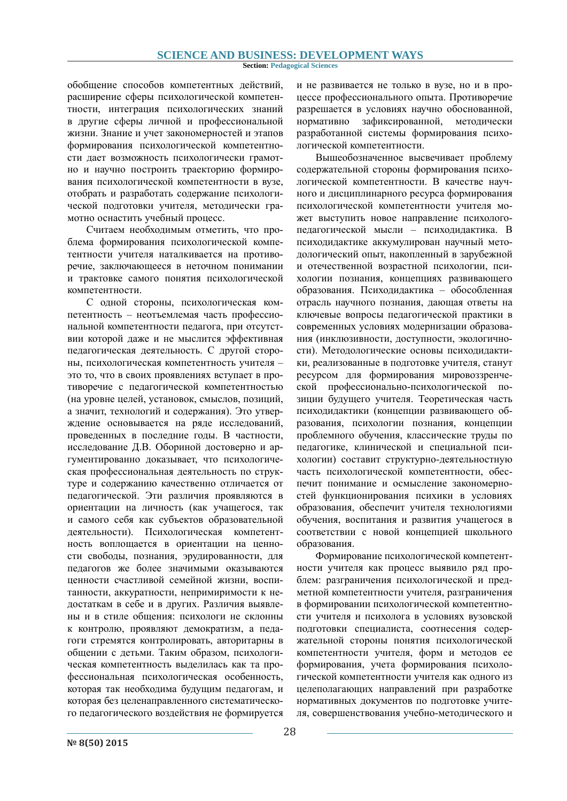#### **Section: Pedagogical Sciences**

обобщение способов компетентных действий, расширение сферы психологической компетентности, интеграция психологических знаний в другие сферы личной и профессиональной жизни. Знание и учет закономерностей и этапов формирования психологической компетентности дает возможность психологически грамотно и научно построить траекторию формирования психологической компетентности в вузе, отобрать и разработать содержание психологической подготовки учителя, методически грамотно оснастить учебный процесс.

Считаем необходимым отметить, что проблема формирования психологической компетентности учителя наталкивается на противоречие, заключающееся в неточном понимании и трактовке самого понятия психологической компетентности.

С одной стороны, психологическая компетентность - неотъемлемая часть профессиональной компетентности педагога, при отсутствии которой даже и не мыслится эффективная педагогическая деятельность. С другой стороны, психологическая компетентность учителя это то, что в своих проявлениях вступает в противоречие с педагогической компетентностью на уровне целей, установок, смыслов, позиций, а значит, технологий и содержания). Это утверждение основывается на ряде исследований, проведенных в последние годы. В частности, исследование Д.В. Обориной достоверно и аргументированно доказывает, что психологическая профессиональная деятельность по структуре и содержанию качественно отличается от педагогической. Эти различия проявляются в ориентации на личность (как учащегося, так и самого себя как субъектов образовательной деятельности). Психологическая компетентность воплощается в ориентации на ценности свободы, познания, эрудированности, для педагогов же более значимыми оказываются ценности счастливой семейной жизни, воспитанности, аккуратности, непримиримости к недостаткам в себе и в других. Различия выявлены и в стиле общения: психологи не склонны к контролю, проявляют демократизм, а педагоги стремятся контролировать, авторитарны в общении с детьми. Таким образом, психологическая компетентность вылелилась как та профессиональная психологическая особенность, которая так необходима будущим педагогам, и которая без целенаправленного систематического педагогического воздействия не формируется и не развивается не только в вузе, но и в процессе профессионального опыта. Противоречие разрешается в условиях научно обоснованной, нормативно зафиксированной, методически разработанной системы формирования психологической компетентности.

Вышеобозначенное высвечивает проблему содержательной стороны формирования психологической компетентности. В качестве научного и дисциплинарного ресурса формирования психологической компетентности учителя может выступить новое направление психологопедагогической мысли - психодидактика. В психодидактике аккумулирован научный методологический опыт, накопленный в зарубежной и отечественной возрастной психологии, психологии познания, концепциях развивающего образования. Психодидактика - обособленная отрасль научного познания, дающая ответы на ключевые вопросы педагогической практики в современных условиях модернизации образования (инклюзивности, доступности, экологичности). Метолологические основы психолилактики, реализованные в подготовке учителя, станут ресурсом для формирования мировоззренческой профессионально-психологической позиции будущего учителя. Теоретическая часть психодидактики (концепции развивающего образования, психологии познания, концепции проблемного обучения, классические труды по педагогике, клинической и специальной психологии) составит структурно-деятельностную часть психологической компетентности, обеспечит понимание и осмысление закономерностей функционирования психики в условиях образования, обеспечит учителя технологиями обучения, воспитания и развития учащегося в соответствии с новой концепцией школьного образования.

Формирование психологической компетентности учителя как процесс выявило ряд проблем: разграничения психологической и предметной компетентности учителя, разграничения в формировании психологической компетентности учителя и психолога в условиях вузовской подготовки специалиста, соотнесения содержательной стороны понятия психологической компетентности учителя, форм и методов ее формирования, учета формирования психологической компетентности учителя как одного из целеполагающих направлений при разработке нормативных документов по подготовке учителя, совершенствования учебно-методического и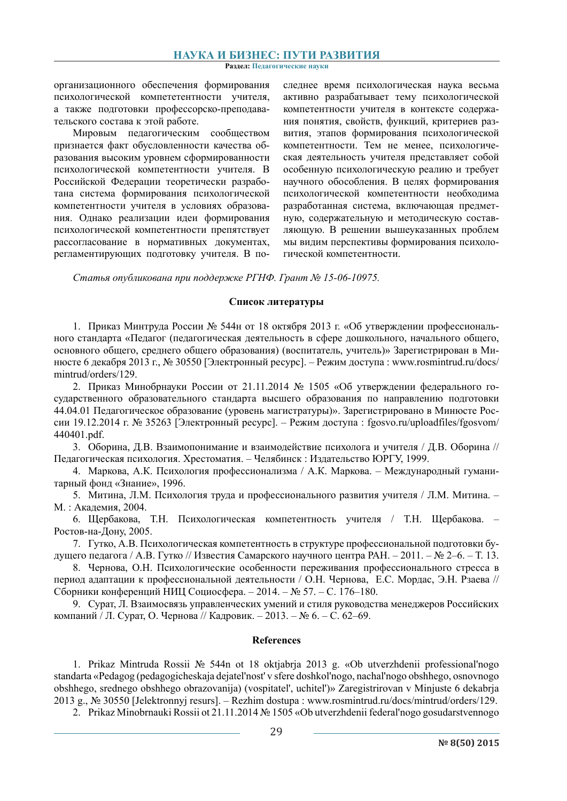Раздел: Педагогические науки

организационного обеспечения формирования психологической компететентности учителя, а также подготовки профессорско-преподавательского состава к этой работе.

Мировым педагогическим сообществом признается факт обусловленности качества образования высоким уровнем сформированности психологической компетентности учителя. В Российской Федерации теоретически разработана система формирования психологической компетентности учителя в условиях образования. Однако реализации идеи формирования психологической компетентности препятствует рассогласование в нормативных документах, регламентирующих подготовку учителя. В по-

следнее время психологическая наука весьма активно разрабатывает тему психологической компетентности учителя в контексте содержания понятия, свойств, функций, критериев развития, этапов формирования психологической компетентности. Тем не менее, психологическая деятельность учителя представляет собой особенную психологическую реалию и требует научного обособления. В целях формирования психологической компетентности необходима разработанная система, включающая предметную, содержательную и методическую составляющую. В решении вышеуказанных проблем мы видим перспективы формирования психологической компетентности.

Статья опубликована при поддержке РГНФ. Грант № 15-06-10975.

### Список литературы

1. Приказ Минтруда России № 544н от 18 октября 2013 г. «Об утверждении профессионального стандарта «Педагог (педагогическая деятельность в сфере дошкольного, начального общего, основного общего, среднего общего образования) (воспитатель, учитель)» Зарегистрирован в Минюсте 6 декабря 2013 г., № 30550 [Электронный ресурс]. – Режим доступа: www.rosmintrud.ru/docs/ mintrud/orders/129.

2. Приказ Минобрнауки России от 21.11.2014 № 1505 «Об утверждении федерального государственного образовательного стандарта высшего образования по направлению подготовки 44.04.01 Педагогическое образование (уровень магистратуры)». Зарегистрировано в Минюсте России 19.12.2014 г. № 35263 [Электронный ресурс]. – Режим доступа: fgosvo.ru/uploadfiles/fgosvom/ 440401.pdf.

3. Оборина, Д.В. Взаимопонимание и взаимодействие психолога и учителя / Д.В. Оборина // Педагогическая психология. Хрестоматия. – Челябинск: Издательство ЮРГУ, 1999.

4. Маркова, А.К. Психология профессионализма / А.К. Маркова. - Международный гуманитарный фонд «Знание», 1996.

5. Митина, Л.М. Психология труда и профессионального развития учителя / Л.М. Митина. М.: Акалемия. 2004.

6. Щербакова, Т.Н. Психологическая компетентность учителя / Т.Н. Щербакова. -Ростов-на-Дону, 2005.

7. Гутко, А.В. Психологическая компетентность в структуре профессиональной подготовки будущего педагога / А.В. Гутко // Известия Самарского научного центра РАН. - 2011. - № 2-6. - Т. 13.

8. Чернова, О.Н. Психологические особенности переживания профессионального стресса в период адаптации к профессиональной деятельности / О.Н. Чернова, Е.С. Мордас, Э.Н. Рзаева // Сборники конференций НИЦ Социосфера. - 2014. - № 57. - С. 176-180.

9. Сурат, Л. Взаимосвязь управленческих умений и стиля руководства менеджеров Российских компаний / Л. Сурат, О. Чернова // Кадровик. - 2013. - № 6. - С. 62-69.

#### **References**

1. Prikaz Mintruda Rossii № 544n ot 18 oktjabrja 2013 g. «Ob utverzhdenii professional'nogo standarta «Pedagog (pedagogicheskaja dejateľnosť v sfere doshkoľnogo, nachaľnogo obshhego, osnovnogo obshhego, srednego obshhego obrazovanija) (vospitatel', uchitel')» Zaregistrirovan v Minjuste 6 dekabrja  $2013$  g.,  $\mathcal{N}_2$  30550 [Jelektronnyj resurs]. – Rezhim dostupa : www.rosmintrud.ru/docs/mintrud/orders/129.

2. Prikaz Minobrnauki Rossii ot 21.11.2014 № 1505 «Ob utverzhdenii federal'nogo gosudarstvennogo